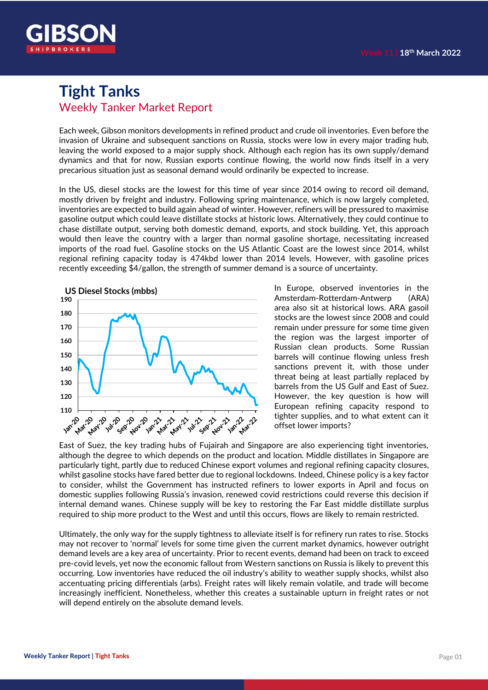

### **Tight Tanks** Weekly Tanker Market Report

Each week, Gibson monitors developments in refined product and crude oil inventories. Even before the invasion of Ukraine and subsequent sanctions on Russia, stocks were low in every major trading hub, leaving the world exposed to a major supply shock. Although each region has its own supply/demand dynamics and that for now, Russian exports continue flowing, the world now finds itself in a very precarious situation just as seasonal demand would ordinarily be expected to increase.

In the US, diesel stocks are the lowest for this time of year since 2014 owing to record oil demand, mostly driven by freight and industry. Following spring maintenance, which is now largely completed, inventories are expected to build again ahead of winter. However, refiners will be pressured to maximise gasoline output which could leave distillate stocks at historic lows. Alternatively, they could continue to chase distillate output, serving both domestic demand, exports, and stock building. Yet, this approach would then leave the country with a larger than normal gasoline shortage, necessitating increased imports of the road fuel. Gasoline stocks on the US Atlantic Coast are the lowest since 2014, whilst regional refining capacity today is 474kbd lower than 2014 levels. However, with gasoline prices recently exceeding \$4/gallon, the strength of summer demand is a source of uncertainty.



In Europe, observed inventories in the Amsterdam-Rotterdam-Antwerp (ARA) area also sit at historical lows. ARA gasoil stocks are the lowest since 2008 and could remain under pressure for some time given the region was the largest importer of Russian clean products. Some Russian barrels will continue flowing unless fresh sanctions prevent it, with those under threat being at least partially replaced by barrels from the US Gulf and East of Suez. However, the key question is how will European refining capacity respond to tighter supplies, and to what extent can it offset lower imports?

East of Suez, the key trading hubs of Fujairah and Singapore are also experiencing tight inventories, although the degree to which depends on the product and location. Middle distillates in Singapore are particularly tight, partly due to reduced Chinese export volumes and regional refining capacity closures, whilst gasoline stocks have fared better due to regional lockdowns. Indeed, Chinese policy is a key factor to consider, whilst the Government has instructed refiners to lower exports in April and focus on domestic supplies following Russia's invasion, renewed covid restrictions could reverse this decision if internal demand wanes. Chinese supply will be key to restoring the Far East middle distillate surplus required to ship more product to the West and until this occurs, flows are likely to remain restricted.

Ultimately, the only way for the supply tightness to alleviate itself is for refinery run rates to rise. Stocks may not recover to 'normal' levels for some time given the current market dynamics, however outright demand levels are a key area of uncertainty. Prior to recent events, demand had been on track to exceed pre-covid levels, yet now the economic fallout from Western sanctions on Russia is likely to prevent this occurring. Low inventories have reduced the oil industry's ability to weather supply shocks, whilst also accentuating pricing differentials (arbs). Freight rates will likely remain volatile, and trade will become increasingly inefficient. Nonetheless, whether this creates a sustainable upturn in freight rates or not will depend entirely on the absolute demand levels.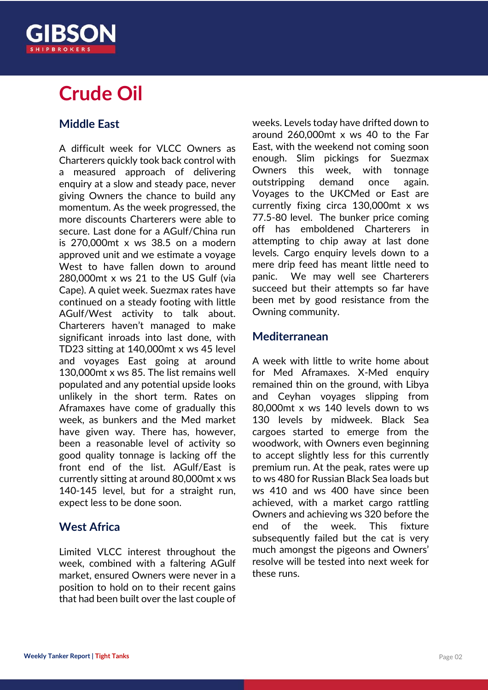

## **Crude Oil**

#### **Middle East**

A difficult week for VLCC Owners as Charterers quickly took back control with a measured approach of delivering enquiry at a slow and steady pace, never giving Owners the chance to build any momentum. As the week progressed, the more discounts Charterers were able to secure. Last done for a AGulf/China run is 270,000mt x ws 38.5 on a modern approved unit and we estimate a voyage West to have fallen down to around 280,000mt x ws 21 to the US Gulf (via Cape). A quiet week. Suezmax rates have continued on a steady footing with little AGulf/West activity to talk about. Charterers haven't managed to make significant inroads into last done, with TD23 sitting at 140,000mt x ws 45 level and voyages East going at around 130,000mt x ws 85. The list remains well populated and any potential upside looks unlikely in the short term. Rates on Aframaxes have come of gradually this week, as bunkers and the Med market have given way. There has, however, been a reasonable level of activity so good quality tonnage is lacking off the front end of the list. AGulf/East is currently sitting at around 80,000mt x ws 140-145 level, but for a straight run, expect less to be done soon.

#### **West Africa**

Limited VLCC interest throughout the week, combined with a faltering AGulf market, ensured Owners were never in a position to hold on to their recent gains that had been built over the last couple of weeks. Levels today have drifted down to around 260,000mt x ws 40 to the Far East, with the weekend not coming soon enough. Slim pickings for Suezmax Owners this week, with tonnage outstripping demand once again. Voyages to the UKCMed or East are currently fixing circa 130,000mt x ws 77.5-80 level. The bunker price coming off has emboldened Charterers in attempting to chip away at last done levels. Cargo enquiry levels down to a mere drip feed has meant little need to panic. We may well see Charterers succeed but their attempts so far have been met by good resistance from the Owning community.

#### **Mediterranean**

A week with little to write home about for Med Aframaxes. X-Med enquiry remained thin on the ground, with Libya and Ceyhan voyages slipping from 80,000mt x ws 140 levels down to ws 130 levels by midweek. Black Sea cargoes started to emerge from the woodwork, with Owners even beginning to accept slightly less for this currently premium run. At the peak, rates were up to ws 480 for Russian Black Sea loads but ws 410 and ws 400 have since been achieved, with a market cargo rattling Owners and achieving ws 320 before the end of the week. This fixture subsequently failed but the cat is very much amongst the pigeons and Owners' resolve will be tested into next week for these runs.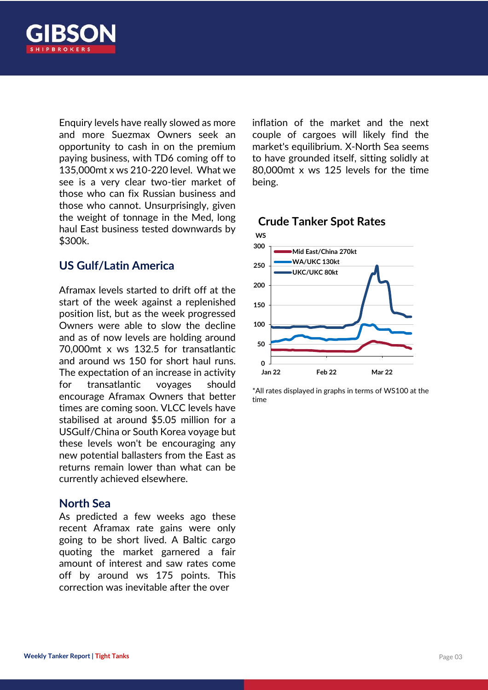

Enquiry levels have really slowed as more and more Suezmax Owners seek an opportunity to cash in on the premium paying business, with TD6 coming off to 135,000mt x ws 210-220 level. What we see is a very clear two-tier market of those who can fix Russian business and those who cannot. Unsurprisingly, given the weight of tonnage in the Med, long haul East business tested downwards by \$300k.

#### **US Gulf/Latin America**

Aframax levels started to drift off at the start of the week against a replenished position list, but as the week progressed Owners were able to slow the decline and as of now levels are holding around 70,000mt x ws 132.5 for transatlantic and around ws 150 for short haul runs. The expectation of an increase in activity for transatlantic voyages should encourage Aframax Owners that better times are coming soon. VLCC levels have stabilised at around \$5.05 million for a USGulf/China or South Korea voyage but these levels won't be encouraging any new potential ballasters from the East as returns remain lower than what can be currently achieved elsewhere.

#### **North Sea**

As predicted a few weeks ago these recent Aframax rate gains were only going to be short lived. A Baltic cargo quoting the market garnered a fair amount of interest and saw rates come off by around ws 175 points. This correction was inevitable after the over

inflation of the market and the next couple of cargoes will likely find the market's equilibrium. X-North Sea seems to have grounded itself, sitting solidly at 80,000mt x ws 125 levels for the time being.

#### **Crude Tanker Spot Rates**



<sup>\*</sup>All rates displayed in graphs in terms of WS100 at the time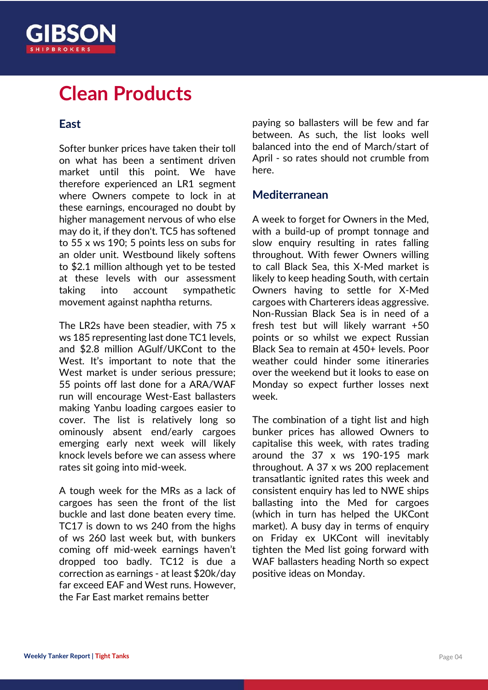

## **Clean Products**

#### **East**

Softer bunker prices have taken their toll on what has been a sentiment driven market until this point. We have therefore experienced an LR1 segment where Owners compete to lock in at these earnings, encouraged no doubt by higher management nervous of who else may do it, if they don't. TC5 has softened to 55 x ws 190; 5 points less on subs for an older unit. Westbound likely softens to \$2.1 million although yet to be tested at these levels with our assessment taking into account sympathetic movement against naphtha returns.

The LR2s have been steadier, with 75 x ws 185 representing last done TC1 levels, and \$2.8 million AGulf/UKCont to the West. It's important to note that the West market is under serious pressure: 55 points off last done for a ARA/WAF run will encourage West-East ballasters making Yanbu loading cargoes easier to cover. The list is relatively long so ominously absent end/early cargoes emerging early next week will likely knock levels before we can assess where rates sit going into mid-week.

A tough week for the MRs as a lack of cargoes has seen the front of the list buckle and last done beaten every time. TC17 is down to ws 240 from the highs of ws 260 last week but, with bunkers coming off mid-week earnings haven't dropped too badly. TC12 is due a correction as earnings - at least \$20k/day far exceed EAF and West runs. However, the Far East market remains better

paying so ballasters will be few and far between. As such, the list looks well balanced into the end of March/start of April - so rates should not crumble from here.

#### **Mediterranean**

A week to forget for Owners in the Med, with a build-up of prompt tonnage and slow enquiry resulting in rates falling throughout. With fewer Owners willing to call Black Sea, this X-Med market is likely to keep heading South, with certain Owners having to settle for X-Med cargoes with Charterers ideas aggressive. Non-Russian Black Sea is in need of a fresh test but will likely warrant +50 points or so whilst we expect Russian Black Sea to remain at 450+ levels. Poor weather could hinder some itineraries over the weekend but it looks to ease on Monday so expect further losses next week.

The combination of a tight list and high bunker prices has allowed Owners to capitalise this week, with rates trading around the 37 x ws 190-195 mark throughout. A 37 x ws 200 replacement transatlantic ignited rates this week and consistent enquiry has led to NWE ships ballasting into the Med for cargoes (which in turn has helped the UKCont market). A busy day in terms of enquiry on Friday ex UKCont will inevitably tighten the Med list going forward with WAF ballasters heading North so expect positive ideas on Monday.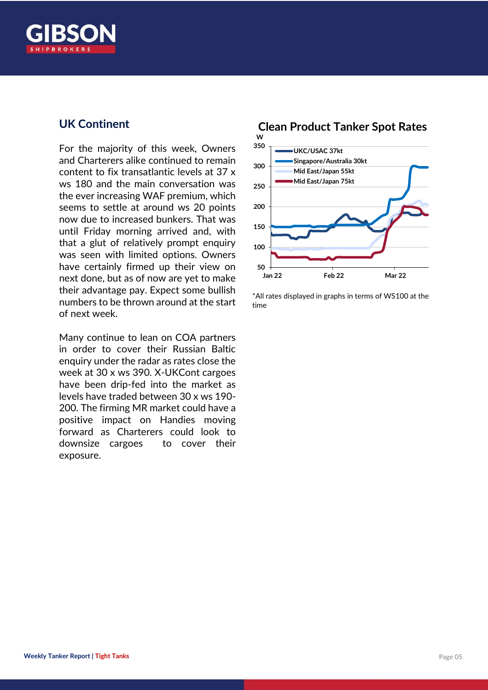

#### **UK Continent**

For the majority of this week, Owners and Charterers alike continued to remain content to fix transatlantic levels at 37 x ws 180 and the main conversation was the ever increasing WAF premium, which seems to settle at around ws 20 points now due to increased bunkers. That was until Friday morning arrived and, with that a glut of relatively prompt enquiry was seen with limited options. Owners have certainly firmed up their view on next done, but as of now are yet to make their advantage pay. Expect some bullish numbers to be thrown around at the start of next week.

Many continue to lean on COA partners in order to cover their Russian Baltic enquiry under the radar as rates close the week at 30 x ws 390. X-UKCont cargoes have been drip-fed into the market as levels have traded between 30 x ws 190- 200. The firming MR market could have a positive impact on Handies moving forward as Charterers could look to downsize cargoes to cover their exposure.



\*All rates displayed in graphs in terms of WS100 at the time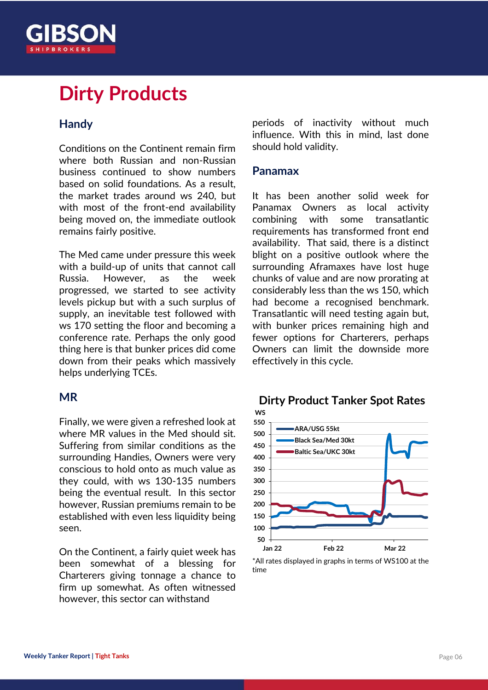

## **Dirty Products**

#### **Handy**

Conditions on the Continent remain firm where both Russian and non-Russian business continued to show numbers based on solid foundations. As a result, the market trades around ws 240, but with most of the front-end availability being moved on, the immediate outlook remains fairly positive.

The Med came under pressure this week with a build-up of units that cannot call Russia. However, as the week progressed, we started to see activity levels pickup but with a such surplus of supply, an inevitable test followed with ws 170 setting the floor and becoming a conference rate. Perhaps the only good thing here is that bunker prices did come down from their peaks which massively helps underlying TCEs.

#### **MR**

Finally, we were given a refreshed look at where MR values in the Med should sit. Suffering from similar conditions as the surrounding Handies, Owners were very conscious to hold onto as much value as they could, with ws 130-135 numbers being the eventual result. In this sector however, Russian premiums remain to be established with even less liquidity being seen.

On the Continent, a fairly quiet week has been somewhat of a blessing for Charterers giving tonnage a chance to firm up somewhat. As often witnessed however, this sector can withstand

periods of inactivity without much influence. With this in mind, last done should hold validity.

#### **Panamax**

It has been another solid week for Panamax Owners as local activity combining with some transatlantic requirements has transformed front end availability. That said, there is a distinct blight on a positive outlook where the surrounding Aframaxes have lost huge chunks of value and are now prorating at considerably less than the ws 150, which had become a recognised benchmark. Transatlantic will need testing again but, with bunker prices remaining high and fewer options for Charterers, perhaps Owners can limit the downside more effectively in this cycle.



## **Dirty Product Tanker Spot Rates**

<sup>\*</sup>All rates displayed in graphs in terms of WS100 at the time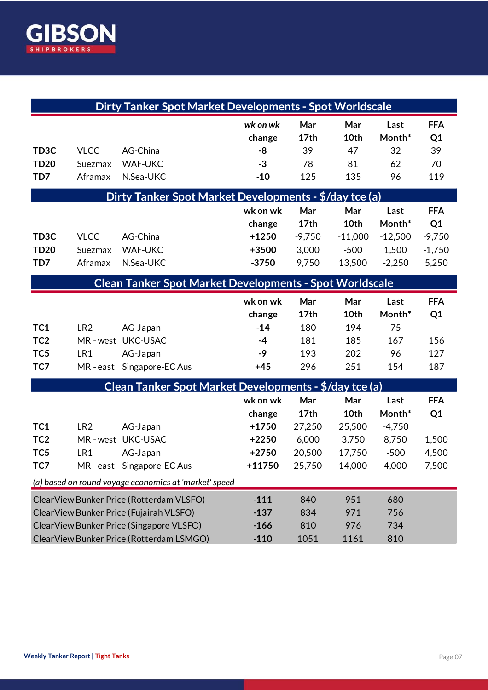

| Dirty Tanker Spot Market Developments - Spot Worldscale        |                 |                          |                    |             |             |                |                  |
|----------------------------------------------------------------|-----------------|--------------------------|--------------------|-------------|-------------|----------------|------------------|
|                                                                |                 |                          | wk on wk<br>change | Mar<br>17th | Mar<br>10th | Last<br>Month* | <b>FFA</b><br>Q1 |
| TD <sub>3</sub> C                                              | <b>VLCC</b>     | AG-China                 | -8                 | 39          | 47          | 32             | 39               |
| <b>TD20</b>                                                    | Suezmax         | <b>WAF-UKC</b>           | $-3$               | 78          | 81          | 62             | 70               |
| TD7                                                            | Aframax         | N.Sea-UKC                | $-10$              | 125         | 135         | 96             | 119              |
| Dirty Tanker Spot Market Developments - \$/day tce (a)         |                 |                          |                    |             |             |                |                  |
|                                                                |                 |                          | wk on wk           | Mar         | Mar         | Last           | <b>FFA</b>       |
|                                                                |                 |                          | change             | 17th        | 10th        | Month*         | Q1               |
| TD <sub>3</sub> C                                              | <b>VLCC</b>     | AG-China                 | $+1250$            | $-9,750$    | $-11,000$   | $-12,500$      | $-9,750$         |
| <b>TD20</b>                                                    | Suezmax         | <b>WAF-UKC</b>           | +3500              | 3,000       | $-500$      | 1,500          | $-1,750$         |
| TD7                                                            | Aframax         | N.Sea-UKC                | $-3750$            | 9,750       | 13,500      | $-2,250$       | 5,250            |
| <b>Clean Tanker Spot Market Developments - Spot Worldscale</b> |                 |                          |                    |             |             |                |                  |
|                                                                |                 |                          | wk on wk           | Mar         | Mar         | Last           | <b>FFA</b>       |
|                                                                |                 |                          | change             | 17th        | 10th        | Month*         | Q1               |
| TC1                                                            | LR <sub>2</sub> | AG-Japan                 | $-14$              | 180         | 194         | 75             |                  |
| TC <sub>2</sub>                                                |                 | MR-west UKC-USAC         | $-4$               | 181         | 185         | 167            | 156              |
| TC <sub>5</sub>                                                | LR1             | AG-Japan                 | $-9$               | 193         | 202         | 96             | 127              |
| TC7                                                            |                 | MR-east Singapore-EC Aus | $+45$              | 296         | 251         | 154            | 187              |
| Clean Tanker Spot Market Developments - \$/day tce (a)         |                 |                          |                    |             |             |                |                  |
|                                                                |                 |                          | wk on wk           | Mar         | Mar         | Last           | <b>FFA</b>       |
|                                                                |                 |                          | change             | 17th        | 10th        | Month*         | Q1               |
| TC1                                                            | LR <sub>2</sub> | AG-Japan                 | $+1750$            | 27,250      | 25,500      | $-4,750$       |                  |
| TC <sub>2</sub>                                                |                 | MR-west UKC-USAC         | $+2250$            | 6,000       | 3,750       | 8,750          | 1,500            |
| TC <sub>5</sub>                                                | LR1             | AG-Japan                 | $+2750$            | 20,500      | 17,750      | $-500$         | 4,500            |
| TC7                                                            |                 | MR-east Singapore-EC Aus | +11750             | 25,750      | 14,000      | 4,000          | 7,500            |
| (a) based on round voyage economics at 'market' speed          |                 |                          |                    |             |             |                |                  |
| ClearView Bunker Price (Rotterdam VLSFO)                       |                 |                          | $-111$             | 840         | 951         | 680            |                  |
| ClearView Bunker Price (Fujairah VLSFO)                        |                 |                          | $-137$             | 834         | 971         | 756            |                  |
| ClearView Bunker Price (Singapore VLSFO)                       |                 |                          | $-166$             | 810         | 976         | 734            |                  |
| ClearView Bunker Price (Rotterdam LSMGO)                       |                 |                          | $-110$             | 1051        | 1161        | 810            |                  |